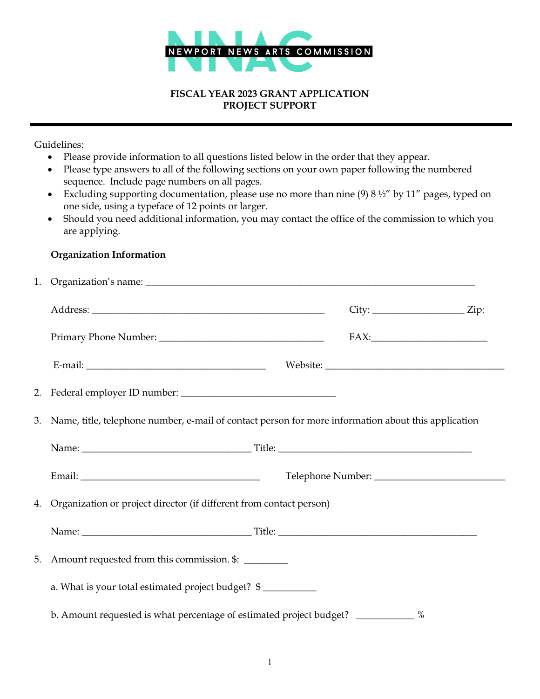

#### **FISCAL YEAR 2023 GRANT APPLICATION PROJECT SUPPORT**

Guidelines:

- Please provide information to all questions listed below in the order that they appear.
- Please type answers to all of the following sections on your own paper following the numbered sequence. Include page numbers on all pages.
- Excluding supporting documentation, please use no more than nine  $(9) 8 \frac{1}{2}$  by 11" pages, typed on one side, using a typeface of 12 points or larger.
- Should you need additional information, you may contact the office of the commission to which you are applying.

### **Organization Information**

| 1. |                                                                                    |                                                                                                     |  |        |  |
|----|------------------------------------------------------------------------------------|-----------------------------------------------------------------------------------------------------|--|--------|--|
|    |                                                                                    |                                                                                                     |  |        |  |
|    |                                                                                    |                                                                                                     |  | $FAX:$ |  |
|    |                                                                                    |                                                                                                     |  |        |  |
| 2. |                                                                                    |                                                                                                     |  |        |  |
| 3. |                                                                                    | Name, title, telephone number, e-mail of contact person for more information about this application |  |        |  |
|    |                                                                                    |                                                                                                     |  |        |  |
|    |                                                                                    |                                                                                                     |  |        |  |
|    | 4. Organization or project director (if different from contact person)             |                                                                                                     |  |        |  |
|    |                                                                                    |                                                                                                     |  |        |  |
| 5. | Amount requested from this commission. \$:                                         |                                                                                                     |  |        |  |
|    | a. What is your total estimated project budget? \$                                 |                                                                                                     |  |        |  |
|    | b. Amount requested is what percentage of estimated project budget? ____________ % |                                                                                                     |  |        |  |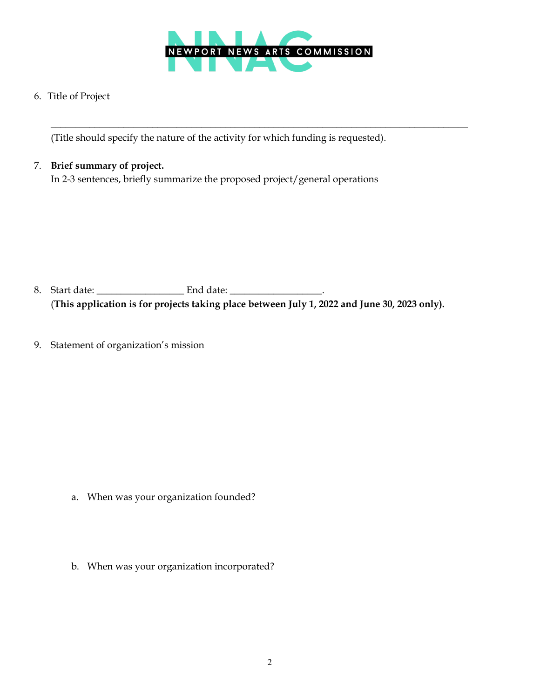

 $\overline{\phantom{a}}$  ,  $\overline{\phantom{a}}$  ,  $\overline{\phantom{a}}$  ,  $\overline{\phantom{a}}$  ,  $\overline{\phantom{a}}$  ,  $\overline{\phantom{a}}$  ,  $\overline{\phantom{a}}$  ,  $\overline{\phantom{a}}$  ,  $\overline{\phantom{a}}$  ,  $\overline{\phantom{a}}$  ,  $\overline{\phantom{a}}$  ,  $\overline{\phantom{a}}$  ,  $\overline{\phantom{a}}$  ,  $\overline{\phantom{a}}$  ,  $\overline{\phantom{a}}$  ,  $\overline{\phantom{a}}$ 

6. Title of Project

(Title should specify the nature of the activity for which funding is requested).

## 7. **Brief summary of project.**

In 2-3 sentences, briefly summarize the proposed project/general operations

- 8. Start date: \_\_\_\_\_\_\_\_\_\_\_\_\_\_\_\_\_\_ End date: \_\_\_\_\_\_\_\_\_\_\_\_\_\_\_\_\_\_\_. (**This application is for projects taking place between July 1, 2022 and June 30, 2023 only).**
- 9. Statement of organization's mission

- a. When was your organization founded?
- b. When was your organization incorporated?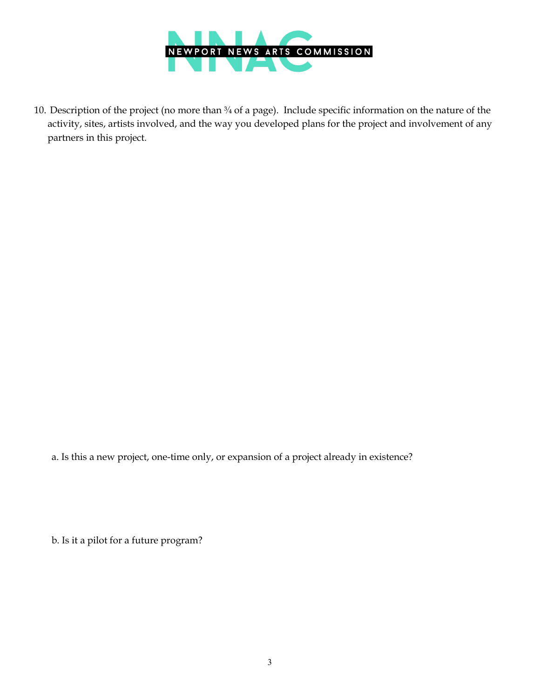

 10. Description of the project (no more than ¾ of a page). Include specific information on the nature of the activity, sites, artists involved, and the way you developed plans for the project and involvement of any partners in this project.

a. Is this a new project, one-time only, or expansion of a project already in existence?

b. Is it a pilot for a future program?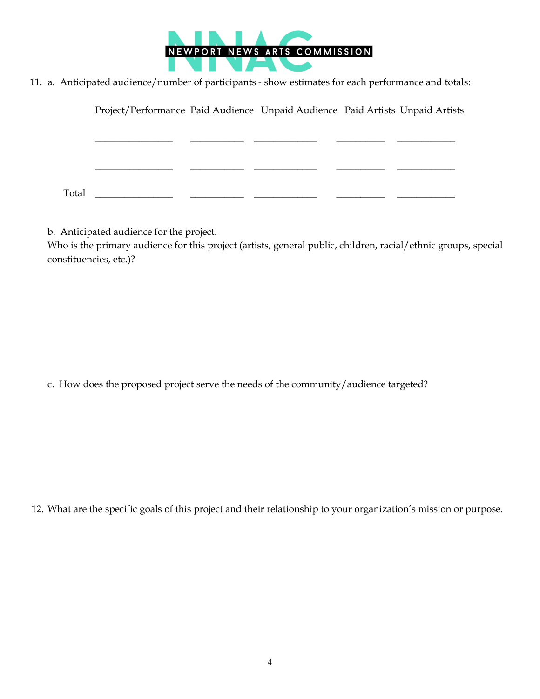

11. a. Anticipated audience/number of participants - show estimates for each performance and totals:

 $\_$ 

Project/Performance Paid Audience Unpaid Audience Paid Artists Unpaid Artists

\_\_\_\_\_\_\_\_\_\_\_\_\_\_\_\_ \_\_\_\_\_\_\_\_\_\_\_ \_\_\_\_\_\_\_\_\_\_\_\_\_ \_\_\_\_\_\_\_\_\_\_ \_\_\_\_\_\_\_\_\_\_\_\_

 $\begin{array}{cccccccccccccc} \text{Total} & \text{\textcolor{red}{\bf{1}}}\; & \text{\textcolor{red}{\bf{2}}}\; & \text{\textcolor{red}{\bf{2}}}\; & \text{\textcolor{red}{\bf{2}}}\; & \text{\textcolor{red}{\bf{2}}}\; & \text{\textcolor{red}{\bf{2}}}\; & \text{\textcolor{red}{\bf{2}}}\; & \text{\textcolor{red}{\bf{2}}}\; & \text{\textcolor{red}{\bf{2}}}\; \\ \text{\textcolor{red}{\bf{2}}}\; & \text{\textcolor{red}{\bf{2}}}\; & \text{\textcolor{red}{\bf{2}}}\; & \text{\textcolor{red}{\bf{2$ 

b. Anticipated audience for the project.

Who is the primary audience for this project (artists, general public, children, racial/ethnic groups, special constituencies, etc.)?

c. How does the proposed project serve the needs of the community/audience targeted?

12. What are the specific goals of this project and their relationship to your organization's mission or purpose.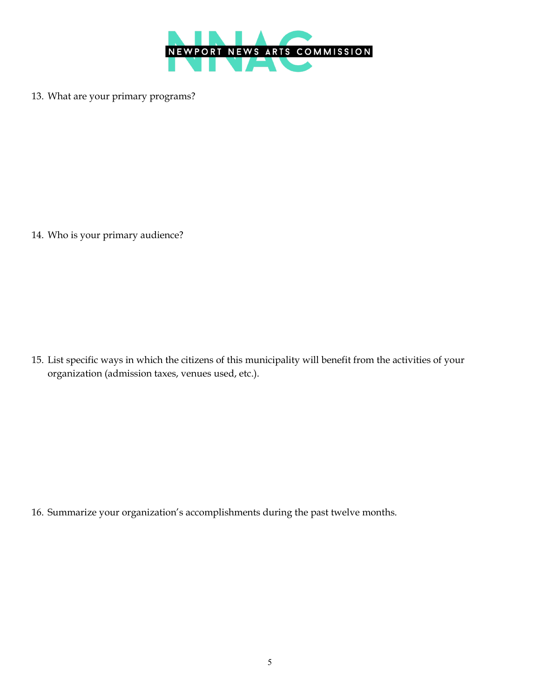

13. What are your primary programs?

14. Who is your primary audience?

15. List specific ways in which the citizens of this municipality will benefit from the activities of your organization (admission taxes, venues used, etc.).

16. Summarize your organization's accomplishments during the past twelve months.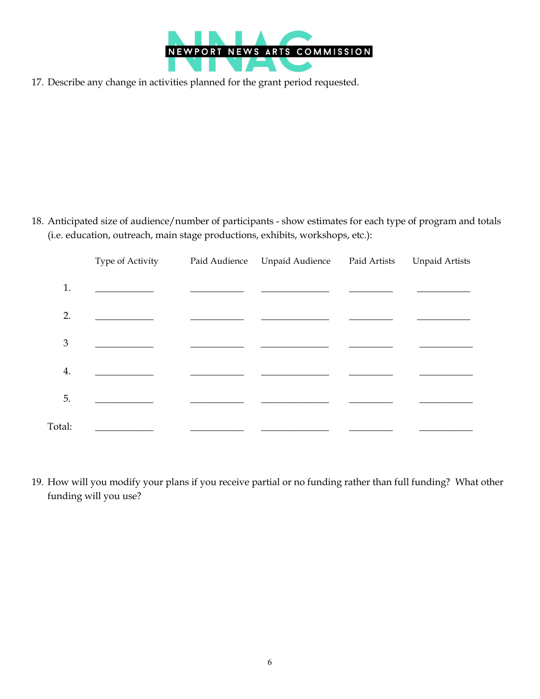

17. Describe any change in activities planned for the grant period requested.

18. Anticipated size of audience/number of participants - show estimates for each type of program and totals (i.e. education, outreach, main stage productions, exhibits, workshops, etc.):

|                | Type of Activity | Paid Audience | Unpaid Audience Paid Artists | <b>Unpaid Artists</b> |
|----------------|------------------|---------------|------------------------------|-----------------------|
| 1.             |                  |               |                              |                       |
| 2.             |                  |               |                              |                       |
| $\mathfrak{Z}$ |                  |               |                              |                       |
| 4.             |                  |               |                              |                       |
| 5.             |                  |               |                              |                       |
| Total:         |                  |               |                              |                       |

19. How will you modify your plans if you receive partial or no funding rather than full funding? What other funding will you use?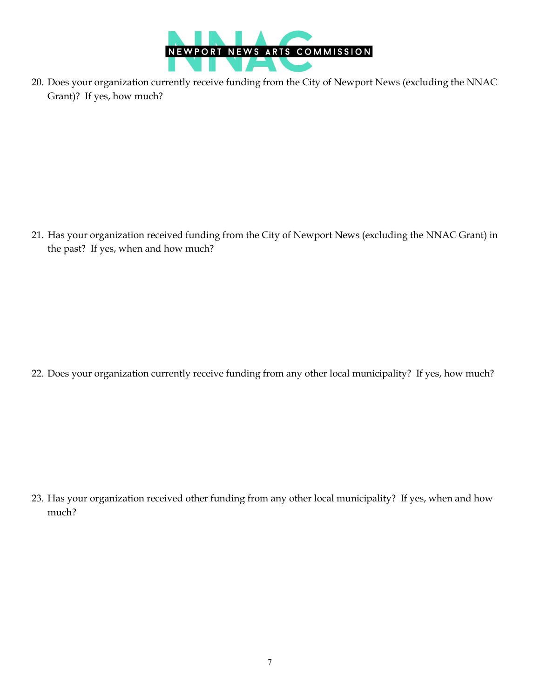

20. Does your organization currently receive funding from the City of Newport News (excluding the NNAC Grant)? If yes, how much?

21. Has your organization received funding from the City of Newport News (excluding the NNAC Grant) in the past? If yes, when and how much?

22. Does your organization currently receive funding from any other local municipality? If yes, how much?

23. Has your organization received other funding from any other local municipality? If yes, when and how much?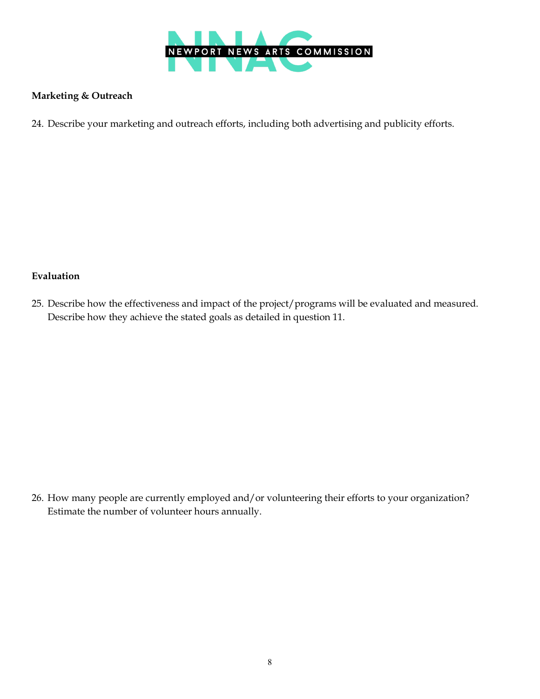

### **Marketing & Outreach**

24. Describe your marketing and outreach efforts, including both advertising and publicity efforts.

### **Evaluation**

25. Describe how the effectiveness and impact of the project/programs will be evaluated and measured. Describe how they achieve the stated goals as detailed in question 11.

26. How many people are currently employed and/or volunteering their efforts to your organization? Estimate the number of volunteer hours annually.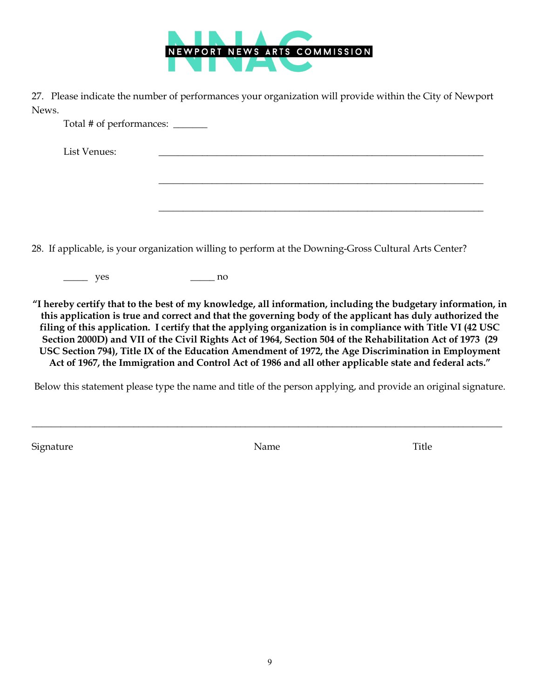

27. Please indicate the number of performances your organization will provide within the City of Newport News.

\_\_\_\_\_\_\_\_\_\_\_\_\_\_\_\_\_\_\_\_\_\_\_\_\_\_\_\_\_\_\_\_\_\_\_\_\_\_\_\_\_\_\_\_\_\_\_\_\_\_\_\_\_\_\_\_\_\_\_\_\_\_\_\_\_\_\_

\_\_\_\_\_\_\_\_\_\_\_\_\_\_\_\_\_\_\_\_\_\_\_\_\_\_\_\_\_\_\_\_\_\_\_\_\_\_\_\_\_\_\_\_\_\_\_\_\_\_\_\_\_\_\_\_\_\_\_\_\_\_\_\_\_\_\_

Total # of performances: \_\_\_\_\_\_\_

List Venues: \_\_\_\_\_\_\_\_\_\_\_\_\_\_\_\_\_\_\_\_\_\_\_\_\_\_\_\_\_\_\_\_\_\_\_\_\_\_\_\_\_\_\_\_\_\_\_\_\_\_\_\_\_\_\_\_\_\_\_\_\_\_\_\_\_\_\_

28. If applicable, is your organization willing to perform at the Downing-Gross Cultural Arts Center?

\_\_\_\_\_ yes \_\_\_\_\_ no

**"I hereby certify that to the best of my knowledge, all information, including the budgetary information, in this application is true and correct and that the governing body of the applicant has duly authorized the filing of this application. I certify that the applying organization is in compliance with Title VI (42 USC Section 2000D) and VII of the Civil Rights Act of 1964, Section 504 of the Rehabilitation Act of 1973 (29 USC Section 794), Title IX of the Education Amendment of 1972, the Age Discrimination in Employment Act of 1967, the Immigration and Control Act of 1986 and all other applicable state and federal acts."**

Below this statement please type the name and title of the person applying, and provide an original signature.

Signature Title

\_\_\_\_\_\_\_\_\_\_\_\_\_\_\_\_\_\_\_\_\_\_\_\_\_\_\_\_\_\_\_\_\_\_\_\_\_\_\_\_\_\_\_\_\_\_\_\_\_\_\_\_\_\_\_\_\_\_\_\_\_\_\_\_\_\_\_\_\_\_\_\_\_\_\_\_\_\_\_\_\_\_\_\_\_\_\_\_\_\_\_\_\_\_\_\_\_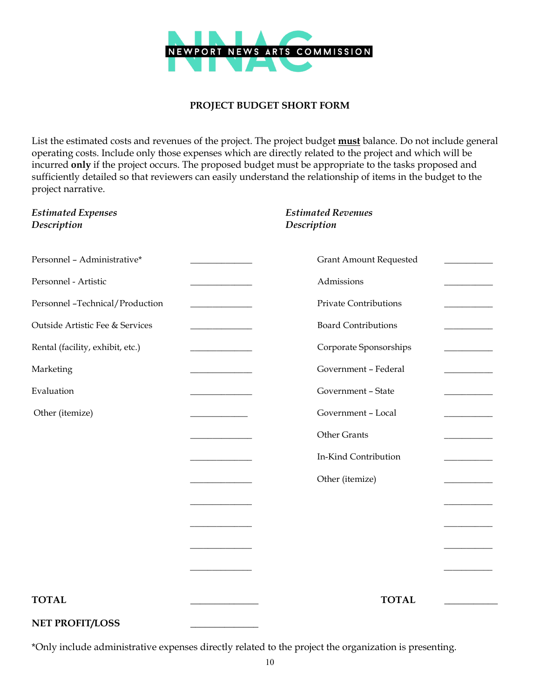

### **PROJECT BUDGET SHORT FORM**

List the estimated costs and revenues of the project. The project budget **must** balance. Do not include general operating costs. Include only those expenses which are directly related to the project and which will be incurred **only** if the project occurs. The proposed budget must be appropriate to the tasks proposed and sufficiently detailed so that reviewers can easily understand the relationship of items in the budget to the project narrative.

| <b>Estimated Expenses</b><br>Description |                                                   | <b>Estimated Revenues</b><br>Description |  |
|------------------------------------------|---------------------------------------------------|------------------------------------------|--|
| Personnel - Administrative*              | <u> 1989 - Johann Barnett, fransk politiker (</u> | <b>Grant Amount Requested</b>            |  |
| Personnel - Artistic                     | and the control of the control of                 | Admissions                               |  |
| Personnel -Technical/Production          |                                                   | Private Contributions                    |  |
| Outside Artistic Fee & Services          |                                                   | <b>Board Contributions</b>               |  |
| Rental (facility, exhibit, etc.)         |                                                   | Corporate Sponsorships                   |  |
| Marketing                                |                                                   | Government - Federal                     |  |
| Evaluation                               |                                                   | Government - State                       |  |
| Other (itemize)                          |                                                   | Government - Local                       |  |
|                                          |                                                   | Other Grants                             |  |
|                                          |                                                   | In-Kind Contribution                     |  |
|                                          |                                                   | Other (itemize)                          |  |
|                                          |                                                   |                                          |  |
|                                          |                                                   |                                          |  |
|                                          |                                                   |                                          |  |
|                                          |                                                   |                                          |  |
| <b>TOTAL</b>                             |                                                   | <b>TOTAL</b>                             |  |
| <b>NET PROFIT/LOSS</b>                   |                                                   |                                          |  |

\*Only include administrative expenses directly related to the project the organization is presenting.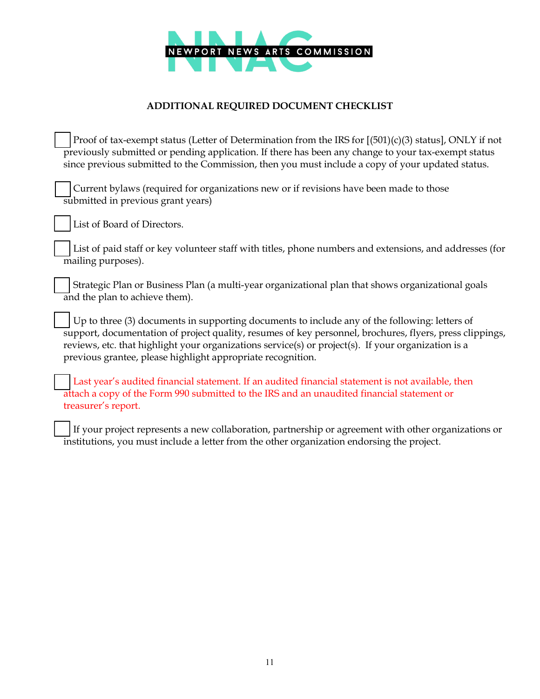

# **ADDITIONAL REQUIRED DOCUMENT CHECKLIST**

 Proof of tax-exempt status (Letter of Determination from the IRS for [(501)(c)(3) status], ONLY if not previously submitted or pending application. If there has been any change to your tax-exempt status since previous submitted to the Commission, then you must include a copy of your updated status.

 Current bylaws (required for organizations new or if revisions have been made to those submitted in previous grant years)

List of Board of Directors.

 List of paid staff or key volunteer staff with titles, phone numbers and extensions, and addresses (for mailing purposes).

 Strategic Plan or Business Plan (a multi-year organizational plan that shows organizational goals and the plan to achieve them).

 Up to three (3) documents in supporting documents to include any of the following: letters of support, documentation of project quality, resumes of key personnel, brochures, flyers, press clippings, reviews, etc. that highlight your organizations service(s) or project(s). If your organization is a previous grantee, please highlight appropriate recognition.

 Last year's audited financial statement. If an audited financial statement is not available, then attach a copy of the Form 990 submitted to the IRS and an unaudited financial statement or treasurer's report.

 If your project represents a new collaboration, partnership or agreement with other organizations or institutions, you must include a letter from the other organization endorsing the project.